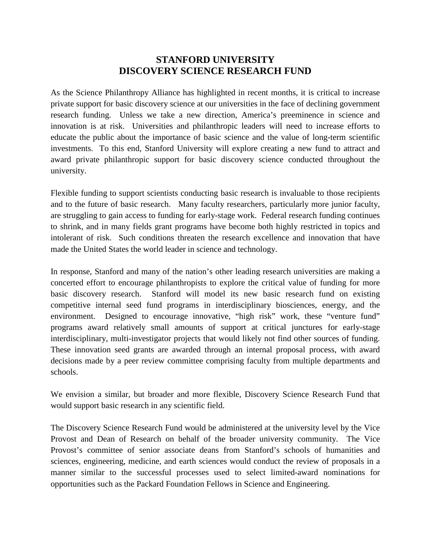## **STANFORD UNIVERSITY DISCOVERY SCIENCE RESEARCH FUND**

As the Science Philanthropy Alliance has highlighted in recent months, it is critical to increase private support for basic discovery science at our universities in the face of declining government research funding. Unless we take a new direction, America's preeminence in science and innovation is at risk. Universities and philanthropic leaders will need to increase efforts to educate the public about the importance of basic science and the value of long-term scientific investments. To this end, Stanford University will explore creating a new fund to attract and award private philanthropic support for basic discovery science conducted throughout the university.

Flexible funding to support scientists conducting basic research is invaluable to those recipients and to the future of basic research. Many faculty researchers, particularly more junior faculty, are struggling to gain access to funding for early-stage work. Federal research funding continues to shrink, and in many fields grant programs have become both highly restricted in topics and intolerant of risk. Such conditions threaten the research excellence and innovation that have made the United States the world leader in science and technology.

In response, Stanford and many of the nation's other leading research universities are making a concerted effort to encourage philanthropists to explore the critical value of funding for more basic discovery research. Stanford will model its new basic research fund on existing competitive internal seed fund programs in interdisciplinary biosciences, energy, and the environment. Designed to encourage innovative, "high risk" work, these "venture fund" programs award relatively small amounts of support at critical junctures for early-stage interdisciplinary, multi-investigator projects that would likely not find other sources of funding. These innovation seed grants are awarded through an internal proposal process, with award decisions made by a peer review committee comprising faculty from multiple departments and schools.

We envision a similar, but broader and more flexible, Discovery Science Research Fund that would support basic research in any scientific field.

The Discovery Science Research Fund would be administered at the university level by the Vice Provost and Dean of Research on behalf of the broader university community. The Vice Provost's committee of senior associate deans from Stanford's schools of humanities and sciences, engineering, medicine, and earth sciences would conduct the review of proposals in a manner similar to the successful processes used to select limited-award nominations for opportunities such as the Packard Foundation Fellows in Science and Engineering.